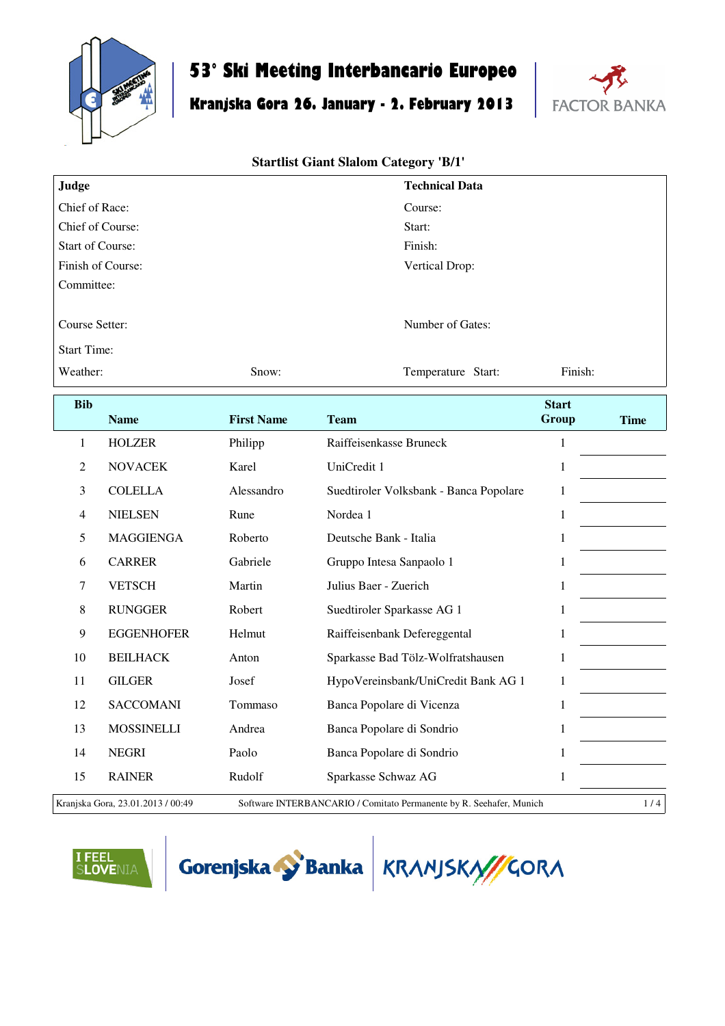

# **53° Ski Meeting Interbancario Europeo**

## **Kranjska Gora 26. January - 2. February 2013**



#### **Startlist Giant Slalom Category 'B/1'**

| Judge                          |                   |                   | <b>Technical Data</b>                  |              |             |  |
|--------------------------------|-------------------|-------------------|----------------------------------------|--------------|-------------|--|
| Chief of Race:                 |                   |                   | Course:                                |              |             |  |
|                                | Chief of Course:  |                   | Start:                                 |              |             |  |
| <b>Start of Course:</b>        |                   |                   | Finish:                                |              |             |  |
|                                | Finish of Course: |                   | Vertical Drop:                         |              |             |  |
| Committee:                     |                   |                   |                                        |              |             |  |
| Course Setter:                 |                   |                   | Number of Gates:                       |              |             |  |
| <b>Start Time:</b><br>Weather: |                   | Snow:             | Temperature Start:                     | Finish:      |             |  |
| <b>Bib</b>                     |                   |                   |                                        | <b>Start</b> |             |  |
|                                | <b>Name</b>       | <b>First Name</b> | <b>Team</b>                            | Group        | <b>Time</b> |  |
| $\mathbf{1}$                   | <b>HOLZER</b>     | Philipp           | Raiffeisenkasse Bruneck                | $\mathbf{1}$ |             |  |
| 2                              | <b>NOVACEK</b>    | Karel             | UniCredit 1                            | $\mathbf{1}$ |             |  |
| 3                              | <b>COLELLA</b>    | Alessandro        | Suedtiroler Volksbank - Banca Popolare | 1            |             |  |
| $\overline{4}$                 | <b>NIELSEN</b>    | Rune              | Nordea 1                               | $\mathbf{1}$ |             |  |
| 5                              | <b>MAGGIENGA</b>  | Roberto           | Deutsche Bank - Italia                 | $\mathbf{1}$ |             |  |
| 6                              | <b>CARRER</b>     | Gabriele          | Gruppo Intesa Sanpaolo 1               | $\mathbf{1}$ |             |  |
| 7                              | <b>VETSCH</b>     | Martin            | Julius Baer - Zuerich                  | $\mathbf{1}$ |             |  |
| 8                              | <b>RUNGGER</b>    | Robert            | Suedtiroler Sparkasse AG 1             | $\mathbf{1}$ |             |  |
| 9                              | <b>EGGENHOFER</b> | Helmut            | Raiffeisenbank Defereggental           | $\mathbf{1}$ |             |  |
| 10                             | <b>BEILHACK</b>   | Anton             | Sparkasse Bad Tölz-Wolfratshausen      | $\mathbf{1}$ |             |  |
| 11                             | <b>GILGER</b>     | Josef             | HypoVereinsbank/UniCredit Bank AG 1    | $\mathbf{1}$ |             |  |





 SACCOMANI Tommaso Banca Popolare di Vicenza 1 MOSSINELLI Andrea Banca Popolare di Sondrio 1 NEGRI Paolo Banca Popolare di Sondrio 1 15 RAINER Rudolf Sparkasse Schwaz AG 1

Kranjska Gora, 23.01.2013 / 00:49 Software INTERBANCARIO / Comitato Permanente by R. Seehafer, Munich 1 / 4

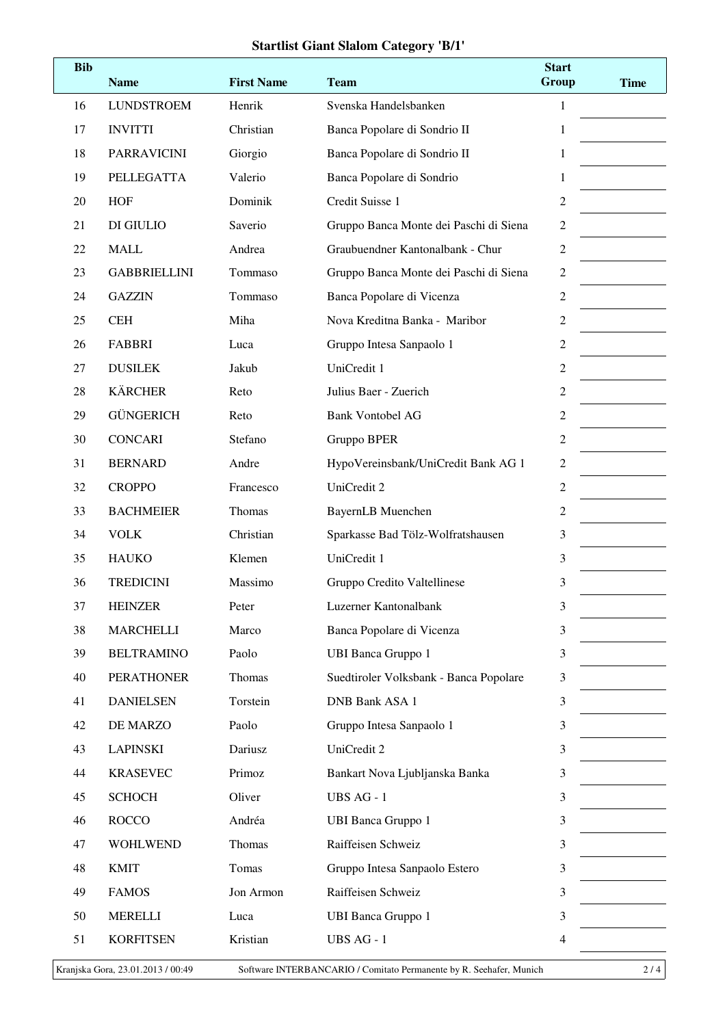#### **Startlist Giant Slalom Category 'B/1'**

| <b>Bib</b> | <b>Name</b>         | <b>First Name</b> | <b>Team</b>                            | <b>Start</b><br>Group | <b>Time</b> |
|------------|---------------------|-------------------|----------------------------------------|-----------------------|-------------|
| 16         | <b>LUNDSTROEM</b>   | Henrik            | Svenska Handelsbanken                  | $\mathbf{1}$          |             |
| 17         | <b>INVITTI</b>      | Christian         | Banca Popolare di Sondrio II           | 1                     |             |
| 18         | <b>PARRAVICINI</b>  | Giorgio           | Banca Popolare di Sondrio II           | 1                     |             |
| 19         | PELLEGATTA          | Valerio           | Banca Popolare di Sondrio              | 1                     |             |
| 20         | <b>HOF</b>          | Dominik           | Credit Suisse 1                        | $\overline{2}$        |             |
| 21         | DI GIULIO           | Saverio           | Gruppo Banca Monte dei Paschi di Siena | $\sqrt{2}$            |             |
| 22         | <b>MALL</b>         | Andrea            | Graubuendner Kantonalbank - Chur       | $\sqrt{2}$            |             |
| 23         | <b>GABBRIELLINI</b> | Tommaso           | Gruppo Banca Monte dei Paschi di Siena | $\sqrt{2}$            |             |
| 24         | <b>GAZZIN</b>       | Tommaso           | Banca Popolare di Vicenza              | 2                     |             |
| 25         | <b>CEH</b>          | Miha              | Nova Kreditna Banka - Maribor          | 2                     |             |
| 26         | <b>FABBRI</b>       | Luca              | Gruppo Intesa Sanpaolo 1               | 2                     |             |
| 27         | <b>DUSILEK</b>      | Jakub             | UniCredit 1                            | $\mathfrak{2}$        |             |
| 28         | <b>KÄRCHER</b>      | Reto              | Julius Baer - Zuerich                  | 2                     |             |
| 29         | <b>GÜNGERICH</b>    | Reto              | <b>Bank Vontobel AG</b>                | 2                     |             |
| 30         | <b>CONCARI</b>      | Stefano           | Gruppo BPER                            | $\overline{c}$        |             |
| 31         | <b>BERNARD</b>      | Andre             | HypoVereinsbank/UniCredit Bank AG 1    | $\overline{2}$        |             |
| 32         | <b>CROPPO</b>       | Francesco         | UniCredit 2                            | $\overline{c}$        |             |
| 33         | <b>BACHMEIER</b>    | Thomas            | <b>BayernLB</b> Muenchen               | 2                     |             |
| 34         | <b>VOLK</b>         | Christian         | Sparkasse Bad Tölz-Wolfratshausen      | 3                     |             |
| 35         | <b>HAUKO</b>        | Klemen            | UniCredit 1                            | 3                     |             |
| 36         | <b>TREDICINI</b>    | Massimo           | Gruppo Credito Valtellinese            | 3                     |             |
| 37         | <b>HEINZER</b>      | Peter             | Luzerner Kantonalbank                  | 3                     |             |
| 38         | <b>MARCHELLI</b>    | Marco             | Banca Popolare di Vicenza              | 3                     |             |
| 39         | <b>BELTRAMINO</b>   | Paolo             | <b>UBI Banca Gruppo 1</b>              | 3                     |             |
| 40         | <b>PERATHONER</b>   | Thomas            | Suedtiroler Volksbank - Banca Popolare | 3                     |             |
| 41         | <b>DANIELSEN</b>    | Torstein          | <b>DNB Bank ASA 1</b>                  | 3                     |             |
| 42         | DE MARZO            | Paolo             | Gruppo Intesa Sanpaolo 1               | 3                     |             |
| 43         | <b>LAPINSKI</b>     | Dariusz           | UniCredit 2                            | 3                     |             |
| 44         | <b>KRASEVEC</b>     | Primoz            | Bankart Nova Ljubljanska Banka         | 3                     |             |
| 45         | <b>SCHOCH</b>       | Oliver            | UBS AG - 1                             | 3                     |             |
| 46         | <b>ROCCO</b>        | Andréa            | <b>UBI Banca Gruppo 1</b>              | 3                     |             |
| 47         | <b>WOHLWEND</b>     | Thomas            | Raiffeisen Schweiz                     | 3                     |             |
| 48         | <b>KMIT</b>         | Tomas             | Gruppo Intesa Sanpaolo Estero          | 3                     |             |
| 49         | <b>FAMOS</b>        | Jon Armon         | Raiffeisen Schweiz                     | 3                     |             |
| 50         | <b>MERELLI</b>      | Luca              | <b>UBI Banca Gruppo 1</b>              | 3                     |             |
| 51         | <b>KORFITSEN</b>    | Kristian          | UBS AG - 1                             | 4                     |             |
|            |                     |                   |                                        |                       |             |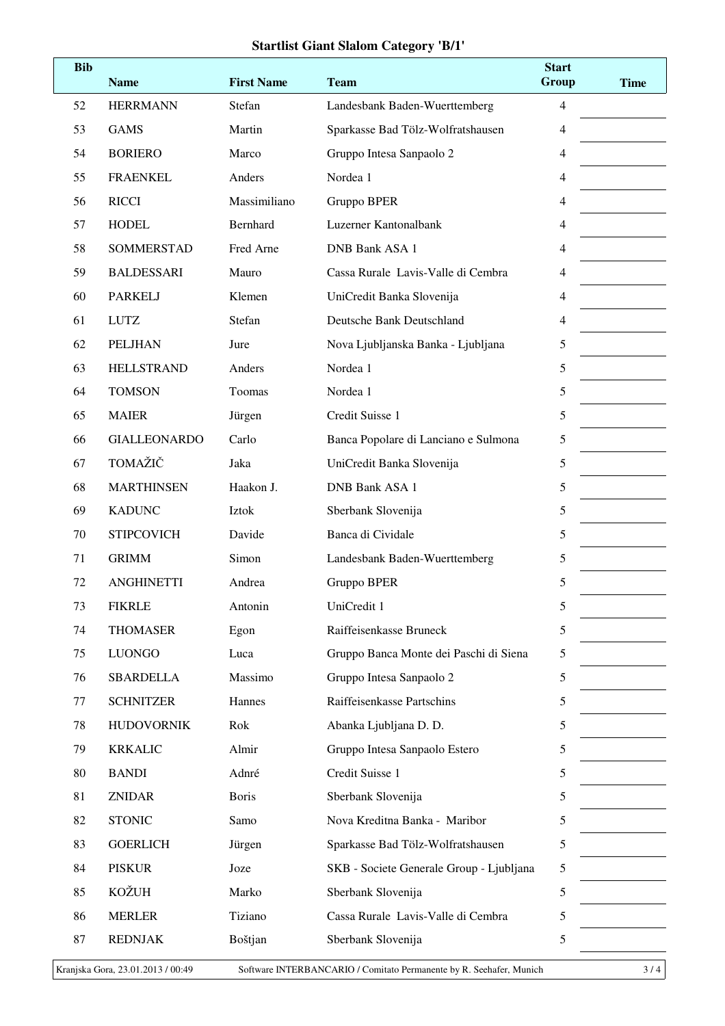#### **Startlist Giant Slalom Category 'B/1'**

| Stefan<br>4<br><b>HERRMANN</b><br>52<br>Landesbank Baden-Wuerttemberg<br><b>GAMS</b><br>53<br>Martin<br>Sparkasse Bad Tölz-Wolfratshausen<br>$\overline{4}$<br><b>BORIERO</b><br>Marco<br>Gruppo Intesa Sanpaolo 2<br>54<br>4<br>55<br><b>FRAENKEL</b><br>Anders<br>Nordea 1<br>4<br><b>RICCI</b><br>Massimiliano<br>Gruppo BPER<br>56<br>$\overline{4}$<br><b>HODEL</b><br>Bernhard<br>Luzerner Kantonalbank<br>57<br>4<br>Fred Arne<br>58<br>SOMMERSTAD<br><b>DNB Bank ASA 1</b><br>4<br><b>BALDESSARI</b><br>Mauro<br>Cassa Rurale Lavis-Valle di Cembra<br>59<br>4<br><b>PARKELJ</b><br>Klemen<br>UniCredit Banka Slovenija<br>4<br>60<br><b>LUTZ</b><br>Stefan<br>Deutsche Bank Deutschland<br>61<br>4<br><b>PELJHAN</b><br>5<br>62<br>Jure<br>Nova Ljubljanska Banka - Ljubljana<br><b>HELLSTRAND</b><br>Anders<br>Nordea 1<br>5<br>63<br><b>TOMSON</b><br>Toomas<br>Nordea 1<br>5<br>64<br><b>MAIER</b><br>Credit Suisse 1<br>5<br>65<br>Jürgen<br><b>GIALLEONARDO</b><br>Carlo<br>Banca Popolare di Lanciano e Sulmona<br>5<br>66<br>TOMAŽIČ<br>Jaka<br>UniCredit Banka Slovenija<br>5<br>67<br><b>MARTHINSEN</b><br>Haakon J.<br><b>DNB Bank ASA 1</b><br>5<br>68<br><b>KADUNC</b><br>Iztok<br>Sberbank Slovenija<br>69<br>5<br>Banca di Cividale<br><b>STIPCOVICH</b><br>Davide<br>5<br>70<br><b>GRIMM</b><br>Simon<br>Landesbank Baden-Wuerttemberg<br>5<br>71<br><b>ANGHINETTI</b><br>Andrea<br>5<br>72<br>Gruppo BPER<br>73<br><b>FIKRLE</b><br>Antonin<br>UniCredit 1<br>5<br>Raiffeisenkasse Bruneck<br><b>THOMASER</b><br>5<br>74<br>Egon<br><b>LUONGO</b><br>Gruppo Banca Monte dei Paschi di Siena<br>75<br>Luca<br>5<br><b>SBARDELLA</b><br>Massimo<br>Gruppo Intesa Sanpaolo 2<br>76<br>5<br><b>SCHNITZER</b><br>Raiffeisenkasse Partschins<br>Hannes<br>5<br>77<br>Rok<br><b>HUDOVORNIK</b><br>Abanka Ljubljana D. D.<br>78<br>5<br><b>KRKALIC</b><br>Almir<br>Gruppo Intesa Sanpaolo Estero<br>79<br>5<br>Credit Suisse 1<br><b>BANDI</b><br>Adnré<br>80<br>5<br><b>ZNIDAR</b><br><b>Boris</b><br>Sberbank Slovenija<br>81<br>5<br><b>STONIC</b><br>82<br>Nova Kreditna Banka - Maribor<br>5<br>Samo |
|----------------------------------------------------------------------------------------------------------------------------------------------------------------------------------------------------------------------------------------------------------------------------------------------------------------------------------------------------------------------------------------------------------------------------------------------------------------------------------------------------------------------------------------------------------------------------------------------------------------------------------------------------------------------------------------------------------------------------------------------------------------------------------------------------------------------------------------------------------------------------------------------------------------------------------------------------------------------------------------------------------------------------------------------------------------------------------------------------------------------------------------------------------------------------------------------------------------------------------------------------------------------------------------------------------------------------------------------------------------------------------------------------------------------------------------------------------------------------------------------------------------------------------------------------------------------------------------------------------------------------------------------------------------------------------------------------------------------------------------------------------------------------------------------------------------------------------------------------------------------------------------------------------------------------------------------------------------------------------------------------------------------------------------------------------------------------------------------------------------------------|
|                                                                                                                                                                                                                                                                                                                                                                                                                                                                                                                                                                                                                                                                                                                                                                                                                                                                                                                                                                                                                                                                                                                                                                                                                                                                                                                                                                                                                                                                                                                                                                                                                                                                                                                                                                                                                                                                                                                                                                                                                                                                                                                            |
|                                                                                                                                                                                                                                                                                                                                                                                                                                                                                                                                                                                                                                                                                                                                                                                                                                                                                                                                                                                                                                                                                                                                                                                                                                                                                                                                                                                                                                                                                                                                                                                                                                                                                                                                                                                                                                                                                                                                                                                                                                                                                                                            |
|                                                                                                                                                                                                                                                                                                                                                                                                                                                                                                                                                                                                                                                                                                                                                                                                                                                                                                                                                                                                                                                                                                                                                                                                                                                                                                                                                                                                                                                                                                                                                                                                                                                                                                                                                                                                                                                                                                                                                                                                                                                                                                                            |
|                                                                                                                                                                                                                                                                                                                                                                                                                                                                                                                                                                                                                                                                                                                                                                                                                                                                                                                                                                                                                                                                                                                                                                                                                                                                                                                                                                                                                                                                                                                                                                                                                                                                                                                                                                                                                                                                                                                                                                                                                                                                                                                            |
|                                                                                                                                                                                                                                                                                                                                                                                                                                                                                                                                                                                                                                                                                                                                                                                                                                                                                                                                                                                                                                                                                                                                                                                                                                                                                                                                                                                                                                                                                                                                                                                                                                                                                                                                                                                                                                                                                                                                                                                                                                                                                                                            |
|                                                                                                                                                                                                                                                                                                                                                                                                                                                                                                                                                                                                                                                                                                                                                                                                                                                                                                                                                                                                                                                                                                                                                                                                                                                                                                                                                                                                                                                                                                                                                                                                                                                                                                                                                                                                                                                                                                                                                                                                                                                                                                                            |
|                                                                                                                                                                                                                                                                                                                                                                                                                                                                                                                                                                                                                                                                                                                                                                                                                                                                                                                                                                                                                                                                                                                                                                                                                                                                                                                                                                                                                                                                                                                                                                                                                                                                                                                                                                                                                                                                                                                                                                                                                                                                                                                            |
|                                                                                                                                                                                                                                                                                                                                                                                                                                                                                                                                                                                                                                                                                                                                                                                                                                                                                                                                                                                                                                                                                                                                                                                                                                                                                                                                                                                                                                                                                                                                                                                                                                                                                                                                                                                                                                                                                                                                                                                                                                                                                                                            |
|                                                                                                                                                                                                                                                                                                                                                                                                                                                                                                                                                                                                                                                                                                                                                                                                                                                                                                                                                                                                                                                                                                                                                                                                                                                                                                                                                                                                                                                                                                                                                                                                                                                                                                                                                                                                                                                                                                                                                                                                                                                                                                                            |
|                                                                                                                                                                                                                                                                                                                                                                                                                                                                                                                                                                                                                                                                                                                                                                                                                                                                                                                                                                                                                                                                                                                                                                                                                                                                                                                                                                                                                                                                                                                                                                                                                                                                                                                                                                                                                                                                                                                                                                                                                                                                                                                            |
|                                                                                                                                                                                                                                                                                                                                                                                                                                                                                                                                                                                                                                                                                                                                                                                                                                                                                                                                                                                                                                                                                                                                                                                                                                                                                                                                                                                                                                                                                                                                                                                                                                                                                                                                                                                                                                                                                                                                                                                                                                                                                                                            |
|                                                                                                                                                                                                                                                                                                                                                                                                                                                                                                                                                                                                                                                                                                                                                                                                                                                                                                                                                                                                                                                                                                                                                                                                                                                                                                                                                                                                                                                                                                                                                                                                                                                                                                                                                                                                                                                                                                                                                                                                                                                                                                                            |
|                                                                                                                                                                                                                                                                                                                                                                                                                                                                                                                                                                                                                                                                                                                                                                                                                                                                                                                                                                                                                                                                                                                                                                                                                                                                                                                                                                                                                                                                                                                                                                                                                                                                                                                                                                                                                                                                                                                                                                                                                                                                                                                            |
|                                                                                                                                                                                                                                                                                                                                                                                                                                                                                                                                                                                                                                                                                                                                                                                                                                                                                                                                                                                                                                                                                                                                                                                                                                                                                                                                                                                                                                                                                                                                                                                                                                                                                                                                                                                                                                                                                                                                                                                                                                                                                                                            |
|                                                                                                                                                                                                                                                                                                                                                                                                                                                                                                                                                                                                                                                                                                                                                                                                                                                                                                                                                                                                                                                                                                                                                                                                                                                                                                                                                                                                                                                                                                                                                                                                                                                                                                                                                                                                                                                                                                                                                                                                                                                                                                                            |
|                                                                                                                                                                                                                                                                                                                                                                                                                                                                                                                                                                                                                                                                                                                                                                                                                                                                                                                                                                                                                                                                                                                                                                                                                                                                                                                                                                                                                                                                                                                                                                                                                                                                                                                                                                                                                                                                                                                                                                                                                                                                                                                            |
|                                                                                                                                                                                                                                                                                                                                                                                                                                                                                                                                                                                                                                                                                                                                                                                                                                                                                                                                                                                                                                                                                                                                                                                                                                                                                                                                                                                                                                                                                                                                                                                                                                                                                                                                                                                                                                                                                                                                                                                                                                                                                                                            |
|                                                                                                                                                                                                                                                                                                                                                                                                                                                                                                                                                                                                                                                                                                                                                                                                                                                                                                                                                                                                                                                                                                                                                                                                                                                                                                                                                                                                                                                                                                                                                                                                                                                                                                                                                                                                                                                                                                                                                                                                                                                                                                                            |
|                                                                                                                                                                                                                                                                                                                                                                                                                                                                                                                                                                                                                                                                                                                                                                                                                                                                                                                                                                                                                                                                                                                                                                                                                                                                                                                                                                                                                                                                                                                                                                                                                                                                                                                                                                                                                                                                                                                                                                                                                                                                                                                            |
|                                                                                                                                                                                                                                                                                                                                                                                                                                                                                                                                                                                                                                                                                                                                                                                                                                                                                                                                                                                                                                                                                                                                                                                                                                                                                                                                                                                                                                                                                                                                                                                                                                                                                                                                                                                                                                                                                                                                                                                                                                                                                                                            |
|                                                                                                                                                                                                                                                                                                                                                                                                                                                                                                                                                                                                                                                                                                                                                                                                                                                                                                                                                                                                                                                                                                                                                                                                                                                                                                                                                                                                                                                                                                                                                                                                                                                                                                                                                                                                                                                                                                                                                                                                                                                                                                                            |
|                                                                                                                                                                                                                                                                                                                                                                                                                                                                                                                                                                                                                                                                                                                                                                                                                                                                                                                                                                                                                                                                                                                                                                                                                                                                                                                                                                                                                                                                                                                                                                                                                                                                                                                                                                                                                                                                                                                                                                                                                                                                                                                            |
|                                                                                                                                                                                                                                                                                                                                                                                                                                                                                                                                                                                                                                                                                                                                                                                                                                                                                                                                                                                                                                                                                                                                                                                                                                                                                                                                                                                                                                                                                                                                                                                                                                                                                                                                                                                                                                                                                                                                                                                                                                                                                                                            |
|                                                                                                                                                                                                                                                                                                                                                                                                                                                                                                                                                                                                                                                                                                                                                                                                                                                                                                                                                                                                                                                                                                                                                                                                                                                                                                                                                                                                                                                                                                                                                                                                                                                                                                                                                                                                                                                                                                                                                                                                                                                                                                                            |
|                                                                                                                                                                                                                                                                                                                                                                                                                                                                                                                                                                                                                                                                                                                                                                                                                                                                                                                                                                                                                                                                                                                                                                                                                                                                                                                                                                                                                                                                                                                                                                                                                                                                                                                                                                                                                                                                                                                                                                                                                                                                                                                            |
|                                                                                                                                                                                                                                                                                                                                                                                                                                                                                                                                                                                                                                                                                                                                                                                                                                                                                                                                                                                                                                                                                                                                                                                                                                                                                                                                                                                                                                                                                                                                                                                                                                                                                                                                                                                                                                                                                                                                                                                                                                                                                                                            |
|                                                                                                                                                                                                                                                                                                                                                                                                                                                                                                                                                                                                                                                                                                                                                                                                                                                                                                                                                                                                                                                                                                                                                                                                                                                                                                                                                                                                                                                                                                                                                                                                                                                                                                                                                                                                                                                                                                                                                                                                                                                                                                                            |
|                                                                                                                                                                                                                                                                                                                                                                                                                                                                                                                                                                                                                                                                                                                                                                                                                                                                                                                                                                                                                                                                                                                                                                                                                                                                                                                                                                                                                                                                                                                                                                                                                                                                                                                                                                                                                                                                                                                                                                                                                                                                                                                            |
|                                                                                                                                                                                                                                                                                                                                                                                                                                                                                                                                                                                                                                                                                                                                                                                                                                                                                                                                                                                                                                                                                                                                                                                                                                                                                                                                                                                                                                                                                                                                                                                                                                                                                                                                                                                                                                                                                                                                                                                                                                                                                                                            |
|                                                                                                                                                                                                                                                                                                                                                                                                                                                                                                                                                                                                                                                                                                                                                                                                                                                                                                                                                                                                                                                                                                                                                                                                                                                                                                                                                                                                                                                                                                                                                                                                                                                                                                                                                                                                                                                                                                                                                                                                                                                                                                                            |
|                                                                                                                                                                                                                                                                                                                                                                                                                                                                                                                                                                                                                                                                                                                                                                                                                                                                                                                                                                                                                                                                                                                                                                                                                                                                                                                                                                                                                                                                                                                                                                                                                                                                                                                                                                                                                                                                                                                                                                                                                                                                                                                            |
| <b>GOERLICH</b><br>Sparkasse Bad Tölz-Wolfratshausen<br>83<br>Jürgen<br>5                                                                                                                                                                                                                                                                                                                                                                                                                                                                                                                                                                                                                                                                                                                                                                                                                                                                                                                                                                                                                                                                                                                                                                                                                                                                                                                                                                                                                                                                                                                                                                                                                                                                                                                                                                                                                                                                                                                                                                                                                                                  |
| <b>PISKUR</b><br>SKB - Societe Generale Group - Ljubljana<br>5<br>84<br>Joze                                                                                                                                                                                                                                                                                                                                                                                                                                                                                                                                                                                                                                                                                                                                                                                                                                                                                                                                                                                                                                                                                                                                                                                                                                                                                                                                                                                                                                                                                                                                                                                                                                                                                                                                                                                                                                                                                                                                                                                                                                               |
| <b>KOŽUH</b><br>85<br>Marko<br>Sberbank Slovenija<br>5                                                                                                                                                                                                                                                                                                                                                                                                                                                                                                                                                                                                                                                                                                                                                                                                                                                                                                                                                                                                                                                                                                                                                                                                                                                                                                                                                                                                                                                                                                                                                                                                                                                                                                                                                                                                                                                                                                                                                                                                                                                                     |
| <b>MERLER</b><br>Cassa Rurale Lavis-Valle di Cembra<br>86<br>Tiziano<br>5                                                                                                                                                                                                                                                                                                                                                                                                                                                                                                                                                                                                                                                                                                                                                                                                                                                                                                                                                                                                                                                                                                                                                                                                                                                                                                                                                                                                                                                                                                                                                                                                                                                                                                                                                                                                                                                                                                                                                                                                                                                  |
| <b>REDNJAK</b><br>87<br>Boštjan<br>Sberbank Slovenija<br>5                                                                                                                                                                                                                                                                                                                                                                                                                                                                                                                                                                                                                                                                                                                                                                                                                                                                                                                                                                                                                                                                                                                                                                                                                                                                                                                                                                                                                                                                                                                                                                                                                                                                                                                                                                                                                                                                                                                                                                                                                                                                 |

Kranjska Gora, 23.01.2013 / 00:49 Software INTERBANCARIO / Comitato Permanente by R. Seehafer, Munich 3 / 4 3 / 4